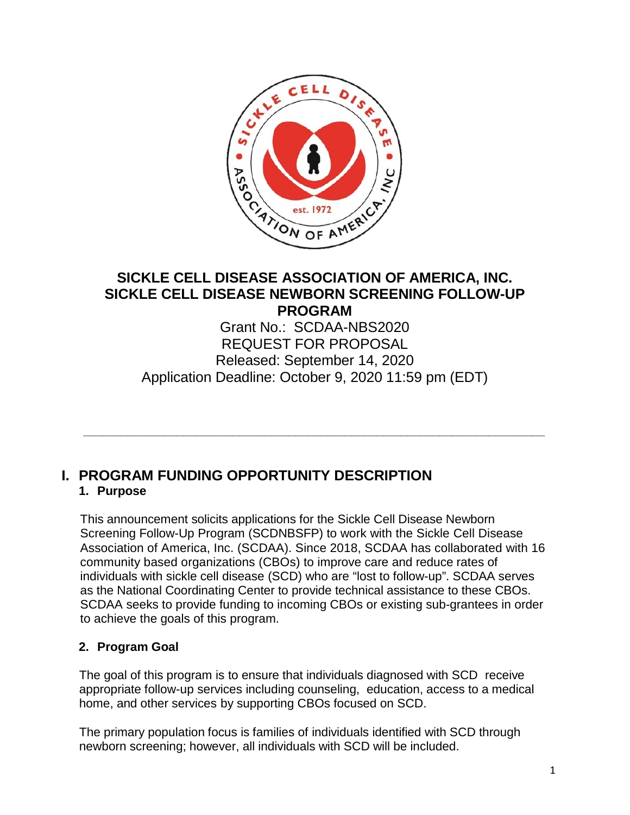

# **SICKLE CELL DISEASE ASSOCIATION OF AMERICA, INC. SICKLE CELL DISEASE NEWBORN SCREENING FOLLOW-UP PROGRAM**

Grant No.: SCDAA-NBS2020 REQUEST FOR PROPOSAL Released: September 14, 2020 Application Deadline: October 9, 2020 11:59 pm (EDT)

**\_\_\_\_\_\_\_\_\_\_\_\_\_\_\_\_\_\_\_\_\_\_\_\_\_\_\_\_\_\_\_\_\_\_\_\_\_\_\_\_\_\_\_\_\_\_\_\_\_\_\_\_\_\_\_\_\_\_\_\_\_\_\_\_\_\_\_\_\_\_\_\_\_\_**

# **I. PROGRAM FUNDING OPPORTUNITY DESCRIPTION**

## **1. Purpose**

This announcement solicits applications for the Sickle Cell Disease Newborn Screening Follow-Up Program (SCDNBSFP) to work with the Sickle Cell Disease Association of America, Inc. (SCDAA). Since 2018, SCDAA has collaborated with 16 community based organizations (CBOs) to improve care and reduce rates of individuals with sickle cell disease (SCD) who are "lost to follow-up". SCDAA serves as the National Coordinating Center to provide technical assistance to these CBOs. SCDAA seeks to provide funding to incoming CBOs or existing sub-grantees in order to achieve the goals of this program.

# **2. Program Goal**

The goal of this program is to ensure that individuals diagnosed with SCD receive appropriate follow-up services including counseling, education, access to a medical home, and other services by supporting CBOs focused on SCD.

The primary population focus is families of individuals identified with SCD through newborn screening; however, all individuals with SCD will be included.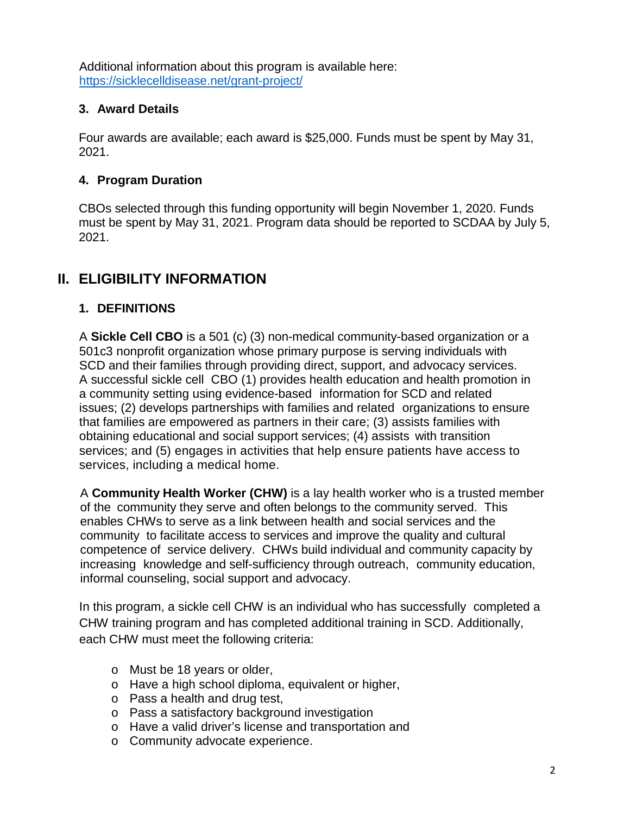Additional information about this program is available here: <https://sicklecelldisease.net/grant-project/>

## **3. Award Details**

Four awards are available; each award is \$25,000. Funds must be spent by May 31, 2021.

# **4. Program Duration**

CBOs selected through this funding opportunity will begin November 1, 2020. Funds must be spent by May 31, 2021. Program data should be reported to SCDAA by July 5, 2021.

# **II. ELIGIBILITY INFORMATION**

# **1. DEFINITIONS**

A **Sickle Cell CBO** is a 501 (c) (3) non-medical community-based organization or a 501c3 nonprofit organization whose primary purpose is serving individuals with SCD and their families through providing direct, support, and advocacy services. A successful sickle cell CBO (1) provides health education and health promotion in a community setting using evidence-based information for SCD and related issues; (2) develops partnerships with families and related organizations to ensure that families are empowered as partners in their care; (3) assists families with obtaining educational and social support services; (4) assists with transition services; and (5) engages in activities that help ensure patients have access to services, including a medical home.

A **Community Health Worker (CHW)** is a lay health worker who is a trusted member of the community they serve and often belongs to the community served. This enables CHWs to serve as a link between health and social services and the community to facilitate access to services and improve the quality and cultural competence of service delivery. CHWs build individual and community capacity by increasing knowledge and self-sufficiency through outreach, community education, informal counseling, social support and advocacy.

In this program, a sickle cell CHW is an individual who has successfully completed a CHW training program and has completed additional training in SCD. Additionally, each CHW must meet the following criteria:

- o Must be 18 years or older,
- o Have a high school diploma, equivalent or higher,
- o Pass a health and drug test,
- o Pass a satisfactory background investigation
- o Have a valid driver's license and transportation and
- o Community advocate experience.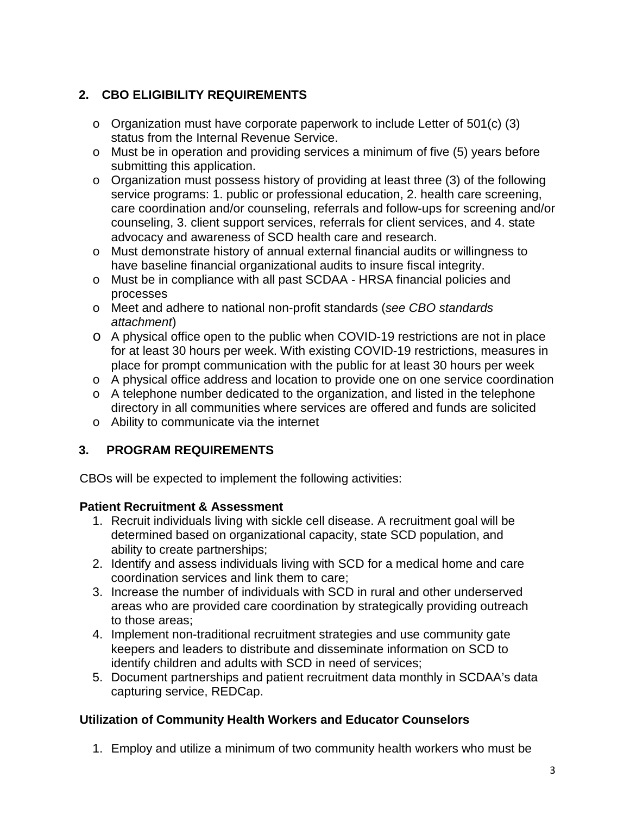# **2. CBO ELIGIBILITY REQUIREMENTS**

- o Organization must have corporate paperwork to include Letter of 501(c) (3) status from the Internal Revenue Service.
- o Must be in operation and providing services a minimum of five (5) years before submitting this application.
- o Organization must possess history of providing at least three (3) of the following service programs: 1. public or professional education, 2. health care screening, care coordination and/or counseling, referrals and follow-ups for screening and/or counseling, 3. client support services, referrals for client services, and 4. state advocacy and awareness of SCD health care and research.
- o Must demonstrate history of annual external financial audits or willingness to have baseline financial organizational audits to insure fiscal integrity.
- o Must be in compliance with all past SCDAA HRSA financial policies and processes
- o Meet and adhere to national non-profit standards (*see CBO standards attachment*)
- o A physical office open to the public when COVID-19 restrictions are not in place for at least 30 hours per week. With existing COVID-19 restrictions, measures in place for prompt communication with the public for at least 30 hours per week
- o A physical office address and location to provide one on one service coordination
- o A telephone number dedicated to the organization, and listed in the telephone directory in all communities where services are offered and funds are solicited
- o Ability to communicate via the internet

# **3. PROGRAM REQUIREMENTS**

CBOs will be expected to implement the following activities:

## **Patient Recruitment & Assessment**

- 1. Recruit individuals living with sickle cell disease. A recruitment goal will be determined based on organizational capacity, state SCD population, and ability to create partnerships;
- 2. Identify and assess individuals living with SCD for a medical home and care coordination services and link them to care;
- 3. Increase the number of individuals with SCD in rural and other underserved areas who are provided care coordination by strategically providing outreach to those areas;
- 4. Implement non-traditional recruitment strategies and use community gate keepers and leaders to distribute and disseminate information on SCD to identify children and adults with SCD in need of services;
- 5. Document partnerships and patient recruitment data monthly in SCDAA's data capturing service, REDCap.

## **Utilization of Community Health Workers and Educator Counselors**

1. Employ and utilize a minimum of two community health workers who must be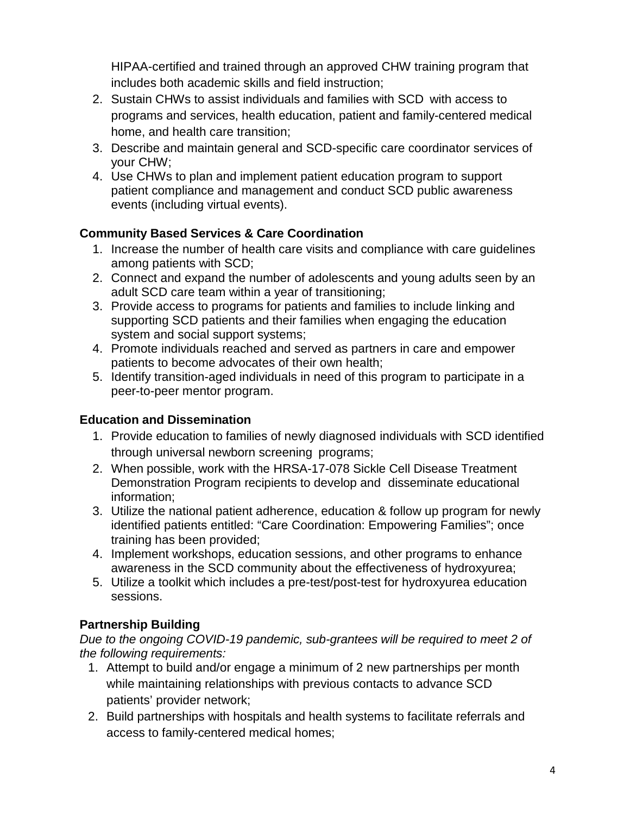HIPAA-certified and trained through an approved CHW training program that includes both academic skills and field instruction;

- 2. Sustain CHWs to assist individuals and families with SCD with access to programs and services, health education, patient and family-centered medical home, and health care transition;
- 3. Describe and maintain general and SCD-specific care coordinator services of your CHW;
- 4. Use CHWs to plan and implement patient education program to support patient compliance and management and conduct SCD public awareness events (including virtual events).

# **Community Based Services & Care Coordination**

- 1. Increase the number of health care visits and compliance with care guidelines among patients with SCD;
- 2. Connect and expand the number of adolescents and young adults seen by an adult SCD care team within a year of transitioning;
- 3. Provide access to programs for patients and families to include linking and supporting SCD patients and their families when engaging the education system and social support systems;
- 4. Promote individuals reached and served as partners in care and empower patients to become advocates of their own health;
- 5. Identify transition-aged individuals in need of this program to participate in a peer-to-peer mentor program.

# **Education and Dissemination**

- 1. Provide education to families of newly diagnosed individuals with SCD identified through universal newborn screening programs;
- 2. When possible, work with the HRSA-17-078 Sickle Cell Disease Treatment Demonstration Program recipients to develop and disseminate educational information;
- 3. Utilize the national patient adherence, education & follow up program for newly identified patients entitled: "Care Coordination: Empowering Families"; once training has been provided;
- 4. Implement workshops, education sessions, and other programs to enhance awareness in the SCD community about the effectiveness of hydroxyurea;
- 5. Utilize a toolkit which includes a pre-test/post-test for hydroxyurea education sessions.

# **Partnership Building**

*Due to the ongoing COVID-19 pandemic, sub-grantees will be required to meet 2 of the following requirements:*

- 1. Attempt to build and/or engage a minimum of 2 new partnerships per month while maintaining relationships with previous contacts to advance SCD patients' provider network;
- 2. Build partnerships with hospitals and health systems to facilitate referrals and access to family-centered medical homes;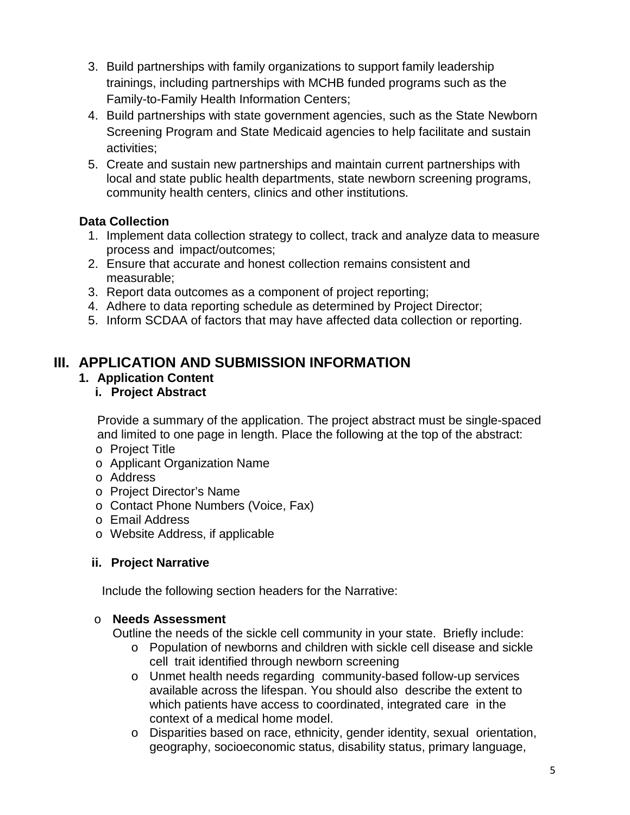- 3. Build partnerships with family organizations to support family leadership trainings, including partnerships with MCHB funded programs such as the Family-to-Family Health Information Centers;
- 4. Build partnerships with state government agencies, such as the State Newborn Screening Program and State Medicaid agencies to help facilitate and sustain activities;
- 5. Create and sustain new partnerships and maintain current partnerships with local and state public health departments, state newborn screening programs, community health centers, clinics and other institutions.

# **Data Collection**

- 1. Implement data collection strategy to collect, track and analyze data to measure process and impact/outcomes;
- 2. Ensure that accurate and honest collection remains consistent and measurable;
- 3. Report data outcomes as a component of project reporting;
- 4. Adhere to data reporting schedule as determined by Project Director;
- 5. Inform SCDAA of factors that may have affected data collection or reporting.

# **III. APPLICATION AND SUBMISSION INFORMATION**

## **1. Application Content**

**i. Project Abstract**

Provide a summary of the application. The project abstract must be single-spaced and limited to one page in length. Place the following at the top of the abstract:

- o Project Title
- o Applicant Organization Name
- o Address
- o Project Director's Name
- o Contact Phone Numbers (Voice, Fax)
- o Email Address
- o Website Address, if applicable

## **ii. Project Narrative**

Include the following section headers for the Narrative:

## o **Needs Assessment**

Outline the needs of the sickle cell community in your state. Briefly include:

- o Population of newborns and children with sickle cell disease and sickle cell trait identified through newborn screening
- o Unmet health needs regarding community-based follow-up services available across the lifespan. You should also describe the extent to which patients have access to coordinated, integrated care in the context of a medical home model.
- o Disparities based on race, ethnicity, gender identity, sexual orientation, geography, socioeconomic status, disability status, primary language,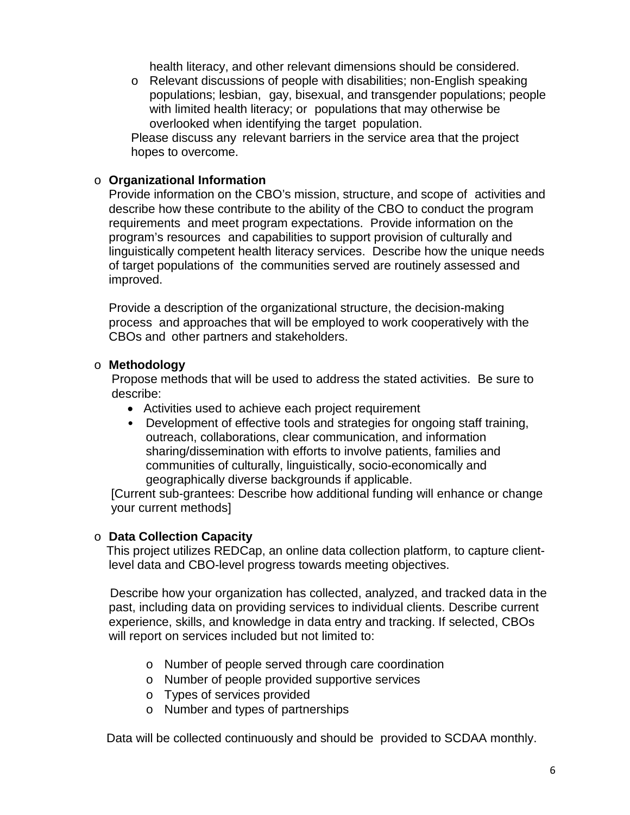health literacy, and other relevant dimensions should be considered.

o Relevant discussions of people with disabilities; non-English speaking populations; lesbian, gay, bisexual, and transgender populations; people with limited health literacy; or populations that may otherwise be overlooked when identifying the target population.

Please discuss any relevant barriers in the service area that the project hopes to overcome.

#### o **Organizational Information**

Provide information on the CBO's mission, structure, and scope of activities and describe how these contribute to the ability of the CBO to conduct the program requirements and meet program expectations. Provide information on the program's resources and capabilities to support provision of culturally and linguistically competent health literacy services. Describe how the unique needs of target populations of the communities served are routinely assessed and improved.

Provide a description of the organizational structure, the decision-making process and approaches that will be employed to work cooperatively with the CBOs and other partners and stakeholders.

#### o **Methodology**

Propose methods that will be used to address the stated activities. Be sure to describe:

- Activities used to achieve each project requirement
- Development of effective tools and strategies for ongoing staff training, outreach, collaborations, clear communication, and information sharing/dissemination with efforts to involve patients, families and communities of culturally, linguistically, socio-economically and geographically diverse backgrounds if applicable.

[Current sub-grantees: Describe how additional funding will enhance or change your current methods]

#### o **Data Collection Capacity**

This project utilizes REDCap, an online data collection platform, to capture clientlevel data and CBO-level progress towards meeting objectives.

Describe how your organization has collected, analyzed, and tracked data in the past, including data on providing services to individual clients. Describe current experience, skills, and knowledge in data entry and tracking. If selected, CBOs will report on services included but not limited to:

- o Number of people served through care coordination
- o Number of people provided supportive services
- o Types of services provided
- o Number and types of partnerships

Data will be collected continuously and should be provided to SCDAA monthly.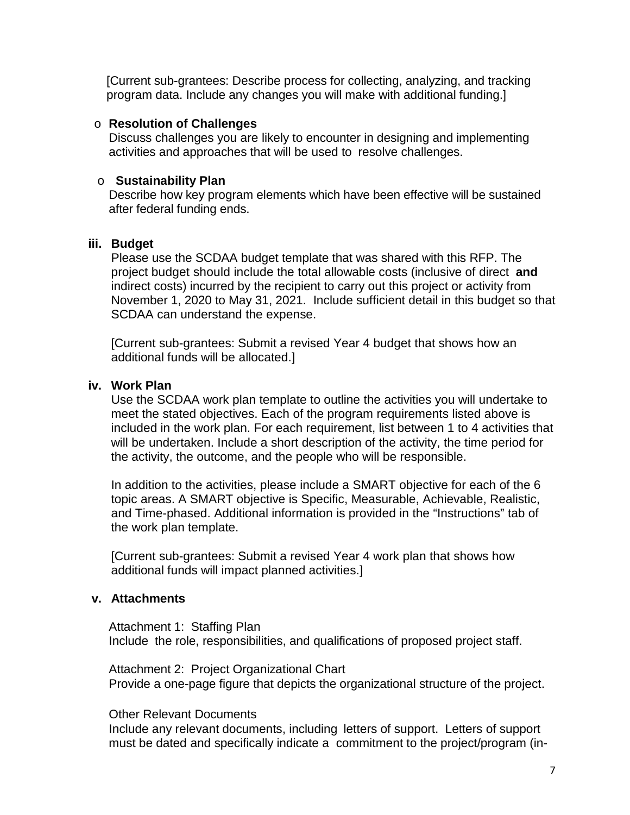[Current sub-grantees: Describe process for collecting, analyzing, and tracking program data. Include any changes you will make with additional funding.]

#### o **Resolution of Challenges**

Discuss challenges you are likely to encounter in designing and implementing activities and approaches that will be used to resolve challenges.

#### o **Sustainability Plan**

Describe how key program elements which have been effective will be sustained after federal funding ends.

#### **iii. Budget**

Please use the SCDAA budget template that was shared with this RFP. The project budget should include the total allowable costs (inclusive of direct **and**  indirect costs) incurred by the recipient to carry out this project or activity from November 1, 2020 to May 31, 2021. Include sufficient detail in this budget so that SCDAA can understand the expense.

[Current sub-grantees: Submit a revised Year 4 budget that shows how an additional funds will be allocated.]

#### **iv. Work Plan**

Use the SCDAA work plan template to outline the activities you will undertake to meet the stated objectives. Each of the program requirements listed above is included in the work plan. For each requirement, list between 1 to 4 activities that will be undertaken. Include a short description of the activity, the time period for the activity, the outcome, and the people who will be responsible.

In addition to the activities, please include a SMART objective for each of the 6 topic areas. A SMART objective is Specific, Measurable, Achievable, Realistic, and Time-phased. Additional information is provided in the "Instructions" tab of the work plan template.

[Current sub-grantees: Submit a revised Year 4 work plan that shows how additional funds will impact planned activities.]

#### **v. Attachments**

Attachment 1: Staffing Plan Include the role, responsibilities, and qualifications of proposed project staff.

Attachment 2: Project Organizational Chart Provide a one-page figure that depicts the organizational structure of the project.

#### Other Relevant Documents

Include any relevant documents, including letters of support. Letters of support must be dated and specifically indicate a commitment to the project/program (in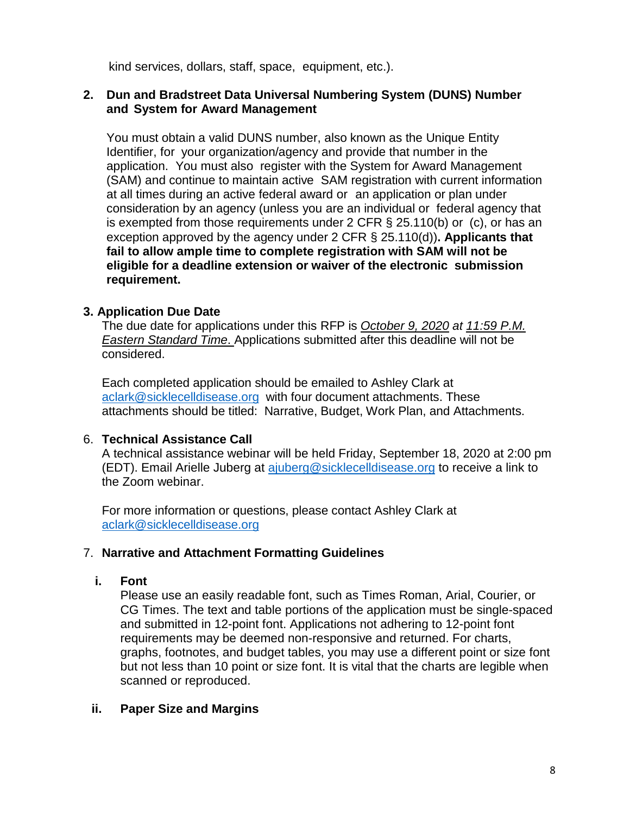kind services, dollars, staff, space, equipment, etc.).

#### **2. Dun and Bradstreet Data Universal Numbering System (DUNS) Number and System for Award Management**

You must obtain a valid DUNS number, also known as the Unique Entity Identifier, for your organization/agency and provide that number in the application. You must also register with the System for Award Management (SAM) and continue to maintain active SAM registration with current information at all times during an active federal award or an application or plan under consideration by an agency (unless you are an individual or federal agency that is exempted from those requirements under 2 CFR  $\S$  25.110(b) or (c), or has an exception approved by the agency under 2 CFR § 25.110(d))**. Applicants that fail to allow ample time to complete registration with SAM will not be eligible for a deadline extension or waiver of the electronic submission requirement.**

## **3. Application Due Date**

The due date for applications under this RFP is *October 9, 2020 at 11:59 P.M. Eastern Standard Time*. Applications submitted after this deadline will not be considered.

Each completed application should be emailed to Ashley Clark at [aclark@sicklecelldisease.org](mailto:aclark@sicklecelldisease.org) with four document attachments. These attachments should be titled: Narrative, Budget, Work Plan, and Attachments.

## 6. **Technical Assistance Call**

A technical assistance webinar will be held Friday, September 18, 2020 at 2:00 pm (EDT). Email Arielle Juberg at [ajuberg@sicklecelldisease.org](mailto:ajuberg@sicklecelldisease.org) to receive a link to the Zoom webinar.

For more information or questions, please contact Ashley Clark at [aclark@sicklecelldisease.org](mailto:aclark@sicklecelldisease.org)

## 7. **Narrative and Attachment Formatting Guidelines**

#### **i. Font**

Please use an easily readable font, such as Times Roman, Arial, Courier, or CG Times. The text and table portions of the application must be single-spaced and submitted in 12-point font. Applications not adhering to 12-point font requirements may be deemed non-responsive and returned. For charts, graphs, footnotes, and budget tables, you may use a different point or size font but not less than 10 point or size font. It is vital that the charts are legible when scanned or reproduced.

## **ii. Paper Size and Margins**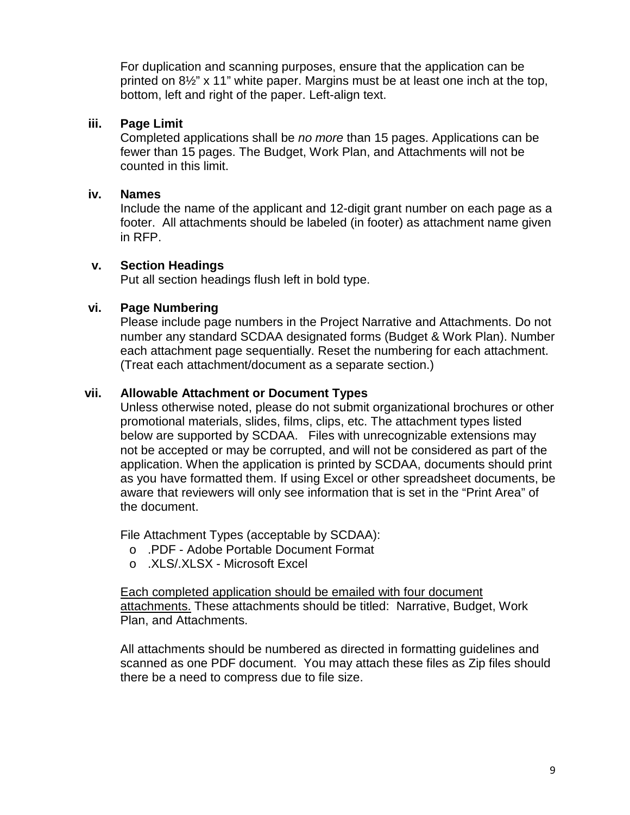For duplication and scanning purposes, ensure that the application can be printed on 8½" x 11" white paper. Margins must be at least one inch at the top, bottom, left and right of the paper. Left-align text.

### **iii. Page Limit**

Completed applications shall be *no more* than 15 pages. Applications can be fewer than 15 pages. The Budget, Work Plan, and Attachments will not be counted in this limit.

#### **iv. Names**

Include the name of the applicant and 12-digit grant number on each page as a footer. All attachments should be labeled (in footer) as attachment name given in RFP.

### **v. Section Headings**

Put all section headings flush left in bold type.

### **vi. Page Numbering**

Please include page numbers in the Project Narrative and Attachments. Do not number any standard SCDAA designated forms (Budget & Work Plan). Number each attachment page sequentially. Reset the numbering for each attachment. (Treat each attachment/document as a separate section.)

### **vii. Allowable Attachment or Document Types**

Unless otherwise noted, please do not submit organizational brochures or other promotional materials, slides, films, clips, etc. The attachment types listed below are supported by SCDAA. Files with unrecognizable extensions may not be accepted or may be corrupted, and will not be considered as part of the application. When the application is printed by SCDAA, documents should print as you have formatted them. If using Excel or other spreadsheet documents, be aware that reviewers will only see information that is set in the "Print Area" of the document.

File Attachment Types (acceptable by SCDAA):

- o .PDF Adobe Portable Document Format
- o .XLS/.XLSX Microsoft Excel

Each completed application should be emailed with four document attachments. These attachments should be titled: Narrative, Budget, Work Plan, and Attachments.

All attachments should be numbered as directed in formatting guidelines and scanned as one PDF document. You may attach these files as Zip files should there be a need to compress due to file size.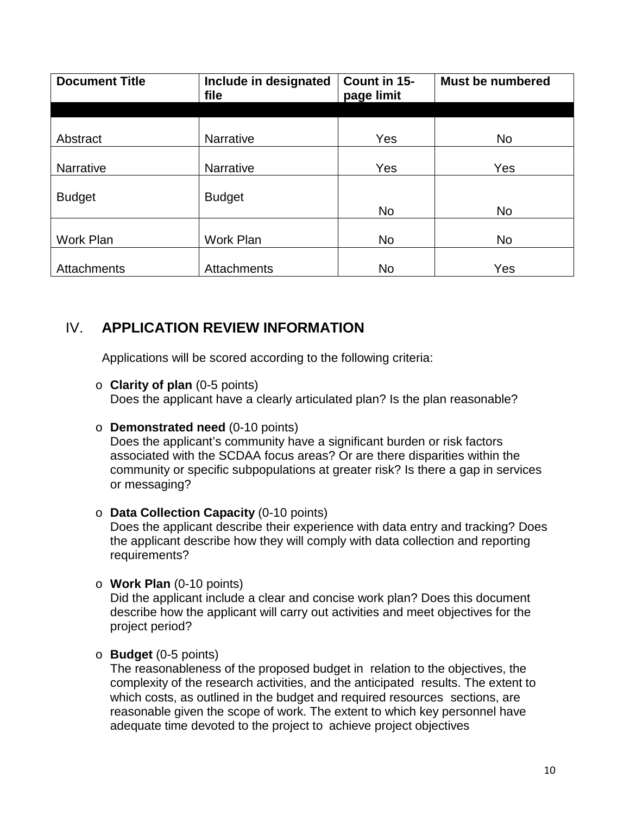| <b>Document Title</b> | Include in designated<br>file | Count in 15-<br>page limit | <b>Must be numbered</b> |
|-----------------------|-------------------------------|----------------------------|-------------------------|
|                       |                               |                            |                         |
| Abstract              | <b>Narrative</b>              | Yes                        | <b>No</b>               |
| Narrative             | Narrative                     | Yes                        | Yes                     |
| <b>Budget</b>         | <b>Budget</b>                 |                            |                         |
|                       |                               | <b>No</b>                  | <b>No</b>               |
| Work Plan             | Work Plan                     | <b>No</b>                  | <b>No</b>               |
| Attachments           | Attachments                   | No                         | Yes                     |

# IV. **APPLICATION REVIEW INFORMATION**

Applications will be scored according to the following criteria:

o **Clarity of plan** (0-5 points)

Does the applicant have a clearly articulated plan? Is the plan reasonable?

o **Demonstrated need** (0-10 points)

Does the applicant's community have a significant burden or risk factors associated with the SCDAA focus areas? Or are there disparities within the community or specific subpopulations at greater risk? Is there a gap in services or messaging?

o **Data Collection Capacity** (0-10 points)

Does the applicant describe their experience with data entry and tracking? Does the applicant describe how they will comply with data collection and reporting requirements?

o **Work Plan** (0-10 points)

Did the applicant include a clear and concise work plan? Does this document describe how the applicant will carry out activities and meet objectives for the project period?

o **Budget** (0-5 points)

The reasonableness of the proposed budget in relation to the objectives, the complexity of the research activities, and the anticipated results. The extent to which costs, as outlined in the budget and required resources sections, are reasonable given the scope of work. The extent to which key personnel have adequate time devoted to the project to achieve project objectives